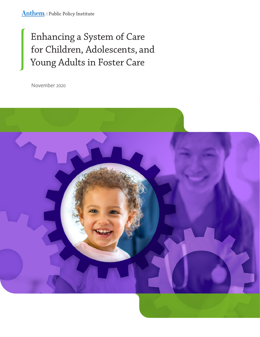# Enhancing a System of Care for Children, Adolescents, and Young Adults in Foster Care

November 2020

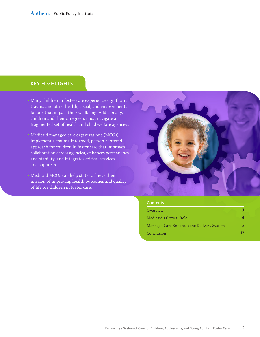### KEY HIGHLIGHTS

• Many children in foster care experience significant trauma and other health, social, and environmental factors that impact their wellbeing. Additionally, children and their caregivers must navigate a fragmented set of health and child welfare agencies.

• Medicaid managed care organizations (MCOs) implement a trauma-informed, person-centered approach for children in foster care that improves collaboration across agencies, enhances permanency and stability, and integrates critical services and supports.

• Medicaid MCOs can help states achieve their mission of improving health outcomes and quality of life for children in foster care.



#### **Contents**

| Overview                                  |  |
|-------------------------------------------|--|
| Medicaid's Critical Role                  |  |
| Managed Care Enhances the Delivery System |  |
| Conclusion                                |  |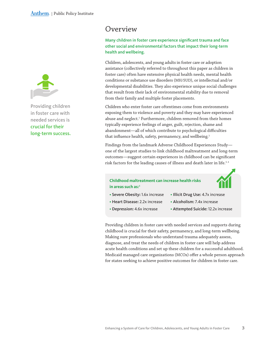<span id="page-2-0"></span>

Providing children in foster care with needed services is crucial for their long-term success.

## Overview

Many children in foster care experience significant trauma and face other social and environmental factors that impact their long-term health and wellbeing.

Children, adolescents, and young adults in foster care or adoption assistance (collectively referred to throughout this paper as children in foster care) often have extensive physical health needs, mental health conditions or substance use disorders (MH/SUD), or intellectual and/or developmental disabilities. They also experience unique social challenges that result from their lack of environmental stability due to removal from their family and multiple foster placements.

Children who enter foster care oftentimes come from environments exposing them to violence and poverty and they may have experienced abuse and neglect.<sup>1</sup> Furthermore, children removed from their homes typically experience feelings of anger, guilt, rejection, shame and abandonment—all of which contribute to psychological difficulties that influence health, safety, permanency, and wellbeing.<sup>2</sup>

Findings from the landmark Adverse Childhood Experiences Study one of the largest studies to link childhood maltreatment and long-term outcomes—suggest certain experiences in childhood can be significant risk factors for the leading causes of illness and death later in life.<sup>3,4</sup>

### **Childhood maltreatment can increase health risks** in areas such as:<sup>5</sup>



- Severe Obesity**:** 1.6x increase
- Illicit Drug Use: 4.7x increase
- Heart Disease**:** 2.2x increase
- Alcoholism: 7.4x increase
- Depression**:** 4.6x increase
- Attempted Suicide: 12.2x increase

Providing children in foster care with needed services and supports during childhood is crucial for their safety, permanency, and long-term wellbeing. Making sure professionals who understand trauma adequately assess, diagnose, and treat the needs of children in foster care will help address acute health conditions and set up these children for a successful adulthood. Medicaid managed care organizations (MCOs) offer a whole person approach for states seeking to achieve positive outcomes for children in foster care.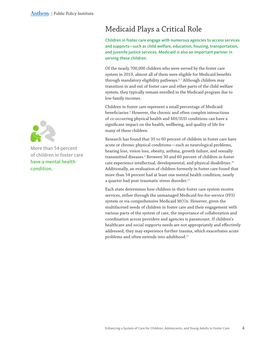

More than 54 percent of children in foster care have a mental health condition.

# <span id="page-3-0"></span>Medicaid Plays a Critical Role

Children in foster care engage with numerous agencies to access services and supports—such as child welfare, education, housing, transportation, and juvenile justice services. Medicaid is also an important partner in serving these children.

Of the nearly 700,000 children who were served by the foster care system in 2019, almost all of them were eligible for Medicaid benefits through mandatory eligibility pathways.<sup>6,7</sup> Although children may transition in and out of foster care and other parts of the child welfare system, they typically remain enrolled in the Medicaid program due to low family incomes.

Children in foster care represent a small percentage of Medicaid beneficiaries.8 However, the chronic and often complex interactions of co-occurring physical health and MH/SUD conditions can have a significant impact on the health, wellbeing, and quality of life for many of these children.

Research has found that 35 to 60 percent of children in foster care have acute or chronic physical conditions—such as neurological problems, hearing loss, vision loss, obesity, asthma, growth failure, and sexually transmitted diseases.9 Between 30 and 60 percent of children in foster care experience intellectual, developmental, and physical disabilities.10 Additionally, an evaluation of children formerly in foster care found that more than 54 percent had at least one mental health condition; nearly a quarter had post-traumatic stress disorder.<sup>11</sup>

Each state determines how children in their foster care system receive services, either through the unmanaged Medicaid fee-for-service (FFS) system or via comprehensive Medicaid MCOs. However, given the multifaceted needs of children in foster care and their engagement with various parts of the system of care, the importance of collaboration and coordination across providers and agencies is paramount. If children's healthcare and social supports needs are not appropriately and effectively addressed, they may experience further trauma, which exacerbates acute problems and often extends into adulthood.<sup>12</sup>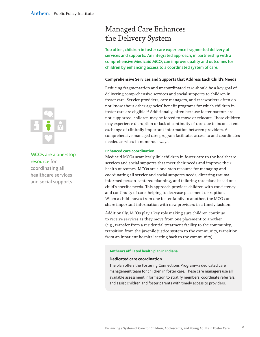

MCOs are a one-stop resource for coordinating all healthcare services and social supports.

# <span id="page-4-0"></span>Managed Care Enhances the Delivery System

Too often, children in foster care experience fragmented delivery of services and supports. An integrated approach, in partnership with a comprehensive Medicaid MCO, can improve quality and outcomes for children by enhancing access to a coordinated system of care.

#### **Comprehensive Services and Supports that Address Each Child's Needs**

Reducing fragmentation and uncoordinated care should be a key goal of delivering comprehensive services and social supports to children in foster care. Service providers, care managers, and caseworkers often do not know about other agencies' benefit programs for which children in foster care are eligible.<sup>13</sup> Additionally, often because foster parents are not supported, children may be forced to move or relocate. These children may experience disruption or lack of continuity of care due to inconsistent exchange of clinically important information between providers. A comprehensive managed care program facilitates access to and coordinates needed services in numerous ways.

#### **Enhanced care coordination**

Medicaid MCOs seamlessly link children in foster care to the healthcare services and social supports that meet their needs and improve their health outcomes. MCOs are a one-stop resource for managing and coordinating all service and social supports needs, directing traumainformed person-centered planning, and tailoring care plans based on a child's specific needs. This approach provides children with consistency and continuity of care, helping to decrease placement disruption. When a child moves from one foster family to another, the MCO can share important information with new providers in a timely fashion.

Additionally, MCOs play a key role making sure children continue to receive services as they move from one placement to another (e.g., transfer from a residential treatment facility to the community, transition from the juvenile justice system to the community, transition from an inpatient hospital setting back to the community).

#### **Anthem's affiliated health plan in Indiana**

#### **Dedicated care coordination**

The plan offers the Fostering Connections Program—a dedicated care management team for children in foster care. These care managers use all available assessment information to stratify members, coordinate referrals, and assist children and foster parents with timely access to providers.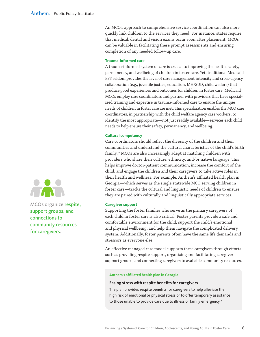An MCO's approach to comprehensive service coordination can also more quickly link children to the services they need. For instance, states require that medical, dental and vision exams occur soon after placement. MCOs can be valuable in facilitating these prompt assessments and ensuring completion of any needed follow-up care.

#### **Trauma-informed care**

A trauma-informed system of care is crucial to improving the health, safety, permanency, and wellbeing of children in foster care. Yet, traditional Medicaid FFS seldom provides the level of care management intensity and cross-agency collaboration (e.g., juvenile justice, education, MH/SUD, child welfare) that produce good experiences and outcomes for children in foster care. Medicaid MCOs employ care coordinators and partner with providers that have specialized training and expertise in trauma-informed care to ensure the unique needs of children in foster care are met. This specialization enables the MCO care coordinators, in partnership with the child welfare agency case workers, to identify the most appropriate—not just readily available—services each child needs to help ensure their safety, permanency, and wellbeing.

#### **Cultural competency**

Care coordinators should reflect the diversity of the children and their communities and understand the cultural characteristics of the child's birth family.14 MCOs are also increasingly adept at matching children with providers who share their culture, ethnicity, and/or native language. This helps improve doctor-patient communication, increase the comfort of the child, and engage the children and their caregivers to take active roles in their health and wellness. For example, Anthem's affiliated health plan in Georgia—which serves as the single statewide MCO serving children in foster care—tracks the cultural and linguistic needs of children to ensure they are paired with culturally and linguistically appropriate services.

#### **Caregiver support**

Supporting the foster families who serve as the primary caregivers of each child in foster care is also critical. Foster parents provide a safe and comfortable environment for the child, support the child's emotional and physical wellbeing, and help them navigate the complicated delivery system. Additionally, foster parents often have the same life demands and stressors as everyone else.

An effective managed care model supports these caregivers through efforts such as providing respite support, organizing and facilitating caregiver support groups, and connecting caregivers to available community resources.

#### **Anthem's affiliated health plan in Georgia**

#### **Easing stress with respite benefits for caregivers**

The plan provides respite benefits for caregivers to help alleviate the high risk of emotional or physical stress or to offer temporary assistance to those unable to provide care due to illness or family emergency.<sup>15</sup>



MCOs organize respite, support groups, and connections to community resources for caregivers.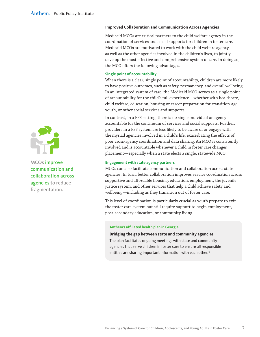

MCOs improve communication and collaboration across agencies to reduce fragmentation.

#### **Improved Collaboration and Communication Across Agencies**

Medicaid MCOs are critical partners to the child welfare agency in the coordination of services and social supports for children in foster care. Medicaid MCOs are motivated to work with the child welfare agency, as well as the other agencies involved in the children's lives, to jointly develop the most effective and comprehensive system of care. In doing so, the MCO offers the following advantages.

#### **Single point of accountability**

When there is a clear, single point of accountability, children are more likely to have positive outcomes, such as safety, permanency, and overall wellbeing. In an integrated system of care, the Medicaid MCO serves as a single point of accountability for the child's full experience—whether with healthcare, child welfare, education, housing or career preparation for transition-age youth, or other social services and supports.

In contrast, in a FFS setting, there is no single individual or agency accountable for the continuum of services and social supports. Further, providers in a FFS system are less likely to be aware of or engage with the myriad agencies involved in a child's life, exacerbating the effects of poor cross-agency coordination and data sharing. An MCO is consistently involved and is accountable whenever a child in foster care changes placement—especially when a state elects a single, statewide MCO.

#### **Engagement with state agency partners**

MCOs can also facilitate communication and collaboration across state agencies. In turn, better collaboration improves service coordination across supportive and affordable housing, education, employment, the juvenile justice system, and other services that help a child achieve safety and wellbeing—including as they transition out of foster care.

This level of coordination is particularly crucial as youth prepare to exit the foster care system but still require support to begin employment, post-secondary education, or community living.

#### **Anthem's affiliated health plan in Georgia**

#### **Bridging the gap between state and community agencies**

The plan facilitates ongoing meetings with state and community agencies that serve children in foster care to ensure all responsible entities are sharing important information with each other.<sup>16</sup>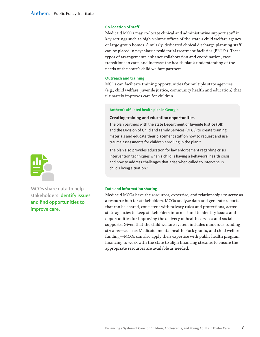#### **Co-location of staff**

Medicaid MCOs may co-locate clinical and administrative support staff in key settings such as high-volume offices of the state's child welfare agency or large group homes. Similarly, dedicated clinical discharge planning staff can be placed in psychiatric residential treatment facilities (PRTFs). These types of arrangements enhance collaboration and coordination, ease transitions in care, and increase the health plan's understanding of the needs of the state's child welfare partners.

#### **Outreach and training**

MCOs can facilitate training opportunities for multiple state agencies (e.g., child welfare, juvenile justice, community health and education) that ultimately improves care for children.

#### **Anthem's affiliated health plan in Georgia**

#### **Creating training and education opportunities**

The plan partners with the state Department of Juvenile Justice (DJJ) and the Division of Child and Family Services (DFCS) to create training materials and educate their placement staff on how to request and use trauma assessments for children enrolling in the plan.<sup>17</sup>

The plan also provides education for law enforcement regarding crisis intervention techniques when a child is having a behavioral health crisis and how to address challenges that arise when called to intervene in child's living situation.<sup>18</sup>



MCOs share data to help stakeholders identify issues and find opportunities to improve care.

#### **Data and information sharing**

Medicaid MCOs have the resources, expertise, and relationships to serve as a resource hub for stakeholders. MCOs analyze data and generate reports that can be shared, consistent with privacy rules and protections, across state agencies to keep stakeholders informed and to identify issues and opportunities for improving the delivery of health services and social supports. Given that the child welfare system includes numerous funding streams—such as Medicaid, mental health block grants, and child welfare funding—MCOs can also apply their expertise with public health program financing to work with the state to align financing streams to ensure the appropriate resources are available as needed.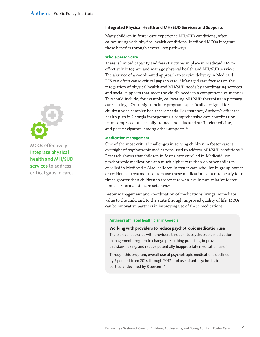

MCOs effectively integrate physical health and MH/SUD services to address critical gaps in care.

#### **Integrated Physical Health and MH/SUD Services and Supports**

Many children in foster care experience MH/SUD conditions, often co-occurring with physical health conditions. Medicaid MCOs integrate these benefits through several key pathways.

#### **Whole person care**

There is limited capacity and few structures in place in Medicaid FFS to effectively integrate and manage physical health and MH/SUD services. The absence of a coordinated approach to service delivery in Medicaid FFS can often cause critical gaps in care.<sup>19</sup> Managed care focuses on the integration of physical health and MH/SUD needs by coordinating services and social supports that meet the child's needs in a comprehensive manner. This could include, for example, co-locating MH/SUD therapists in primary care settings. Or it might include programs specifically designed for children with complex healthcare needs. For instance, Anthem's affiliated health plan in Georgia incorporates a comprehensive care coordination team comprised of specially trained and educated staff, telemedicine, and peer navigators, among other supports.<sup>20</sup>

#### **Medication management**

One of the most critical challenges in serving children in foster care is oversight of psychotropic medications used to address MH/SUD conditions.<sup>21</sup> Research shows that children in foster care enrolled in Medicaid use psychotropic medications at a much higher rate than do other children enrolled in Medicaid.<sup>22</sup> Also, children in foster care who live in group homes or residential treatment centers use these medications at a rate nearly four times greater than children in foster care who live in non-relative foster homes or formal kin care settings.<sup>23</sup>

Better management and coordination of medications brings immediate value to the child and to the state through improved quality of life. MCOs can be innovative partners in improving use of these medications.

#### **Anthem's affiliated health plan in Georgia**

#### **Working with providers to reduce psychotropic medication use**

The plan collaborates with providers through its psychotropic medication management program to change prescribing practices, improve decision-making, and reduce potentially inappropriate medication use.<sup>24</sup>

Through this program, overall use of psychotropic medications declined by 3 percent from 2014 through 2017, and use of antipsychotics in particular declined by 8 percent.<sup>25</sup>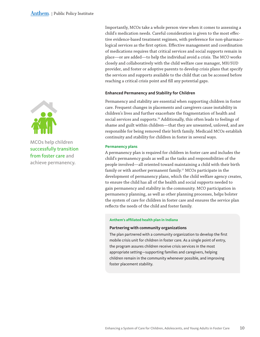Importantly, MCOs take a whole person view when it comes to assessing a child's medication needs. Careful consideration is given to the most effective evidence-based treatment regimen, with preference for non-pharmacological services as the first option. Effective management and coordination of medications requires that critical services and social supports remain in place—or are added—to help the individual avoid a crisis. The MCO works closely and collaboratively with the child welfare case manager, MH/SUD provider, and foster or adoptive parents to develop crisis plans that specify the services and supports available to the child that can be accessed before reaching a critical crisis point and fill any potential gaps.

#### **Enhanced Permanency and Stability for Children**

Permanency and stability are essential when supporting children in foster care. Frequent changes in placements and caregivers cause instability in children's lives and further exacerbate the fragmentation of health and social services and supports.<sup>26</sup> Additionally, this often leads to feelings of shame and guilt within children—that they are unwanted, unloved, and are responsible for being removed their birth family. Medicaid MCOs establish continuity and stability for children in foster in several ways.

#### **Permanency plans**

A permanency plan is required for children in foster care and includes the child's permanency goals as well as the tasks and responsibilities of the people involved—all oriented toward maintaining a child with their birth family or with another permanent family.<sup>27</sup> MCOs participate in the development of permanency plans, which the child welfare agency creates, to ensure the child has all of the health and social supports needed to gain permanency and stability in the community. MCO participation in permanency planning, as well as other planning processes, helps bolster the system of care for children in foster care and ensures the service plan reflects the needs of the child and foster family.

#### **Anthem's affiliated health plan in Indiana**

#### **Partnering with community organizations**

The plan partnered with a community organization to develop the first mobile crisis unit for children in foster care. As a single point of entry, the program assures children receive crisis services in the most appropriate setting—supporting families and caregivers, helping children remain in the community whenever possible, and improving foster placement stability.



MCOs help children successfully transition from foster care and achieve permanency.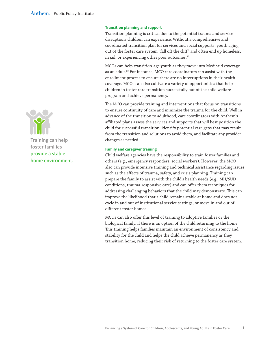#### **Transition planning and support**

Transition planning is critical due to the potential trauma and service disruptions children can experience. Without a comprehensive and coordinated transition plan for services and social supports, youth aging out of the foster care system "fall off the cliff" and often end up homeless, in jail, or experiencing other poor outcomes.<sup>28</sup>

MCOs can help transition-age youth as they move into Medicaid coverage as an adult.<sup>29</sup> For instance, MCO care coordinators can assist with the enrollment process to ensure there are no interruptions in their health coverage. MCOs can also cultivate a variety of opportunities that help children in foster care transition successfully out of the child welfare program and achieve permanency.

The MCO can provide training and interventions that focus on transitions to ensure continuity of care and minimize the trauma for the child. Well in advance of the transition to adulthood, care coordinators with Anthem's affiliated plans assess the services and supports that will best position the child for successful transition, identify potential care gaps that may result from the transition and solutions to avoid them, and facilitate any provider changes as needed.

#### **Family and caregiver training**

Child welfare agencies have the responsibility to train foster families and others (e.g., emergency responders, social workers). However, the MCO also can provide intensive training and technical assistance regarding issues such as the effects of trauma, safety, and crisis planning. Training can prepare the family to assist with the child's health needs (e.g., MH/SUD conditions, trauma-responsive care) and can offer them techniques for addressing challenging behaviors that the child may demonstrate. This can improve the likelihood that a child remains stable at home and does not cycle in and out of institutional service settings, or move in and out of different foster homes.

MCOs can also offer this level of training to adoptive families or the biological family, if there is an option of the child returning to the home. This training helps families maintain an environment of consistency and stability for the child and helps the child achieve permanency as they transition home, reducing their risk of returning to the foster care system.

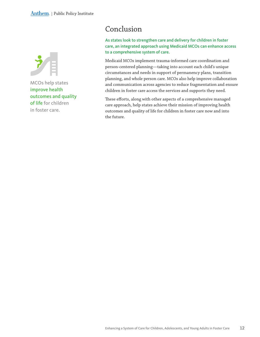<span id="page-11-0"></span>

MCOs help states improve health outcomes and quality of life for children in foster care.

# Conclusion

As states look to strengthen care and delivery for children in foster care, an integrated approach using Medicaid MCOs can enhance access to a comprehensive system of care.

Medicaid MCOs implement trauma-informed care coordination and person-centered planning—taking into account each child's unique circumstances and needs in support of permanency plans, transition planning, and whole person care. MCOs also help improve collaboration and communication across agencies to reduce fragmentation and ensure children in foster care access the services and supports they need.

These efforts, along with other aspects of a comprehensive managed care approach, help states achieve their mission of improving health outcomes and quality of life for children in foster care now and into the future.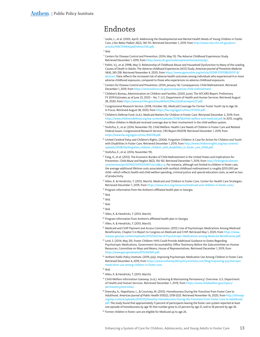## Endnotes

<sup>1</sup> Leslie, L., et al. (2005, April). Addressing the Developmental and Mental Health Needs of Young Children in Foster Care. *J Dev Behav Pediatr 26*(2), 140-151. Retrieved December 1, 2019, from [http://www.ncbi.nlm.nih.gov/pmc/](http://www.ncbi.nlm.nih.gov/pmc/articles/PMC1519416/pdf/nihms11141.pdf) [articles/PMC](http://www.ncbi.nlm.nih.gov/pmc/articles/PMC1519416/pdf/nihms11141.pdf)1519416/pdf/nihms11141.pdf.

- <sup>2</sup> Ibid.
- <sup>3</sup> Centers for Disease Control and Prevention. (2014, May 13). The Adverse Childhood Experiences Study. Retrieved December 1, 2019, from <http://www.cdc.gov/violenceprevention/acestudy/>.
- <sup>4</sup> Felitti, V.J., et al. (1998, May 1). Relationship of Childhood Abuse and Household Dysfunction to Many of the Leading Causes of Death in Adults: The Adverse childhood Experiences (ACE) Study. *American Journal of Preventive Medicine 14*(4), 245-258. Retrieved November 4, 2020, from [https://www.ajpmonline.org/article/S](https://www.ajpmonline.org/article/S0749-3797(98)00017-8/abstract)0749-3797(98)00017-8/ [abstract](https://www.ajpmonline.org/article/S0749-3797(98)00017-8/abstract). Data reflects the increased risk of adverse health outcomes among individuals who experienced 4 or more adverse childhood exposures, compared to those who experiences no adverse childhood exposures.
- $^5$  Centers for Disease Control and Prevention. (2014, January 14). Consequences: Child Maltreatment. Retrieved December 1, 2019, from [https://vetoviolence.cdc.gov/consequences-child-maltreatment.](https://vetoviolence.cdc.gov/consequences-child-maltreatment)
- <sup>6</sup> Children's Bureau, Administration on Children and Families. (2020, June). The AFCARS Report: Preliminary FY 2019 Estimates as of June 23, 2020 – No. 7. U.S. Department of Health and Human Services. Retrieved August 28, 2020, from [https://www.acf.hhs.gov/sites/default/files/cb/afcarsreport](https://www.acf.hhs.gov/sites/default/files/cb/afcarsreport27.pdf)27.pdf.
- <sup>7</sup> Congressional Research Service. (2018, October 26). Medicaid Coverage for Former Foster Youth Up to Age 26. In Focus. Retrieved August 28, 2020, from [https://fas.org/sgp/crs/misc/IF](https://fas.org/sgp/crs/misc/IF11010.pdf)11010.pdf.
- <sup>8</sup> Children's Defense Fund. (n.d.). Medicaid Matters for Children in Foster Care. Retrieved December 2, 2019, from [https://www.childrensdefense.org/wp-content/uploads/](https://www.childrensdefense.org/wp-content/uploads/2018/06/child-welfare-and-medicaid.pdf)2018/06/child-welfare-and-medicaid.pdf. In 2015, roughly 1 million children in Medicaid received coverage due to their involvement in the child welfare system.
- <sup>9</sup> Stoltzfus, E., et al. (2014, November 19). Child Welfare: Health Care Needs of Children in Foster Care and Related Federal Issues. Congressional Research Service, CRS Report R42378. Retrieved December 1, 2019, from [https://www.fas.org/sgp/crs/misc/R](https://www.fas.org/sgp/crs/misc/R42378.pdf)42378.pdf.
- <sup>10</sup> United Cerebral Palsy and Children's Rights. (2006). Forgotten Children: A Case for Action for Children and Youth with Disabilities in Foster Care. Retrieved December 1, 2019, from [http://www.childrensrights.org/wp-content/](http://www.childrensrights.org/wp-content/uploads/2008/06/forgotten_children_children_with_disabilities_in_foster_care_2006.pdf) uploads/2008/06[/forgotten\\_children\\_children\\_with\\_disabilities\\_in\\_foster\\_care\\_](http://www.childrensrights.org/wp-content/uploads/2008/06/forgotten_children_children_with_disabilities_in_foster_care_2006.pdf)2006.pdf.
- <sup>11</sup> Stoltzfus, E., et al. (2014, November 19).
- $12$  Fang, X., et al. (2012). The Economic Burden of Child Maltreatment in the United States and Implications for Prevention. *Child Abuse and Neglect 36*(2), 156-165. Retrieved December 1, 2019, from [http://linkinghub.elsevier.](http://linkinghub.elsevier.com/retrieve/pii/S0145213411003140?via=sd&cc=y) [com/retrieve/pii/S](http://linkinghub.elsevier.com/retrieve/pii/S0145213411003140?via=sd&cc=y)0145213411003140?via=sd&cc=y. For instance, although not limited to children in foster care, the average additional lifetime costs associated with nonfatal childhood maltreatment is roughly \$210,000 per child—which reflects health and child welfare spending, criminal justice and special education costs, as well as loss of productivity.
- <sup>13</sup> Allen, K. & Hendricks, T. (2013, March). Medicaid and Children in Foster Care. Center for Health Care Strategies. Retrieved December 1, 2019, from [https://www.chcs.org/resource/medicaid-and-children-in-foster-care/.](https://www.chcs.org/resource/medicaid-and-children-in-foster-care/)
- <sup>14</sup> Program information from the Anthem's affiliated health plan in Georgia.
- $15$  Ibid.
- <sup>16</sup> Ibid.
- <sup>17</sup> Ibid.
- 
- $18$  Ibid.
- <sup>19</sup> Allen, K. & Hendricks, T. (2013, March).
- <sup>20</sup> Program information from Anthem's affiliated health plan in Georgia.
- <sup>21</sup> Allen, K. & Hendricks, T. (2013, March).
- <sup>22</sup> Medicaid and CHIP Payment and Access Commission. (2015.) Use of Psychotropic Medications Among Medicaid Beneficiaries. Chapter 5 in Report to Congress on Medicaid and CHIP. Retrieved May 1, 2020, from [https://www.](https://www.macpac.gov/wp-content/uploads/2015/06/Use-of-Psychotropic-Medications-among-Medicaid-Beneficiaries.pdf) macpac.gov/wp-content/uploads/2015/06[/Use-of-Psychotropic-Medications-among-Medicaid-Beneficiaries.pdf.](https://www.macpac.gov/wp-content/uploads/2015/06/Use-of-Psychotropic-Medications-among-Medicaid-Beneficiaries.pdf)
- <sup>23</sup> Lord, S. (2014, May 29). Foster Children: HHS Could Provide Additional Guidance to States Regarding Psychotropic Medications. Government Accountability Office Testimony Before the Subcommittee on Human Resources, Committee on Ways and Means, House of Representatives. Retrieved December 1, 2019, from [https://www.gao.gov/assets/](https://www.gao.gov/assets/670/663661.pdf)670/663661.pdf.
- <sup>24</sup> Anthem Public Policy Institute. (2019, July). Improving Psychotropic Medication Use Among Children in Foster Care. Retrieved December 4, 2019, from [https://www.anthempublicpolicyinstitute.com/blog/improving-psychotropic](https://www.anthempublicpolicyinstitute.com/blog/improving-psychotropic-medication-use-among-children-in-foster-care)[medication-use-among-children-in-foster-care.](https://www.anthempublicpolicyinstitute.com/blog/improving-psychotropic-medication-use-among-children-in-foster-care)
- $25$  Ibid.
- <sup>26</sup> Allen, K. & Hendricks, T. (2013, March).
- <sup>27</sup> Child Welfare Information Gateway. (n.d.). Achieving & Maintaining Permanency: Overview. U.S. Department of Health and Human Services. Retrieved December 1, 2019, from [https://www.childwelfare.gov/topics/](https://www.childwelfare.gov/topics/permanency/overview/) [permanency/overview/](https://www.childwelfare.gov/topics/permanency/overview/).
- <sup>28</sup> Dworsky, A., Napolitano, L., & Courtney, M. (2013). Homelessness During the Transition from Foster Care to Adulthood. *American Journal of Public Health 103*(S2), S318-S323. Retrieved November 16, 2020, from [http://ohioaap.](http://ohioaap.org/wp-content/uploads/2015/05/Dworksy-Homelessness-During-the-Transition-From-Foster-Care-to-Adulthood.pdf) org/wp-content/uploads/2015/05[/Dworksy-Homelessness-During-the-Transition-From-Foster-Care-to-Adulthood.](http://ohioaap.org/wp-content/uploads/2015/05/Dworksy-Homelessness-During-the-Transition-From-Foster-Care-to-Adulthood.pdf) [pdf](http://ohioaap.org/wp-content/uploads/2015/05/Dworksy-Homelessness-During-the-Transition-From-Foster-Care-to-Adulthood.pdf). The study found that approximately 11 percent of participants leaving the foster care system reported at least one episode of homelessness by age 19; that number grew to 22 percent by age 21, and to 36 percent by age 26.
- <sup>29</sup> Former children in foster care are eligible for Medicaid up to age 26.